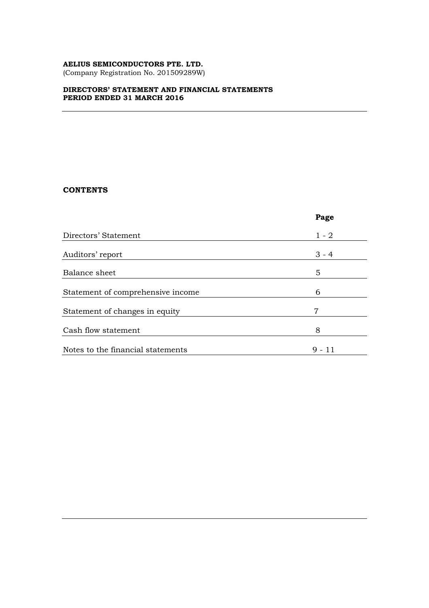(Company Registration No. 201509289W)

# **DIRECTORS' STATEMENT AND FINANCIAL STATEMENTS PERIOD ENDED 31 MARCH 2016**

# **CONTENTS**

|                                   | Page    |
|-----------------------------------|---------|
| Directors' Statement              | $1 - 2$ |
| Auditors' report                  | $3 - 4$ |
| Balance sheet                     | 5       |
| Statement of comprehensive income | 6       |
| Statement of changes in equity    | 7       |
| Cash flow statement               | 8       |
| Notes to the financial statements |         |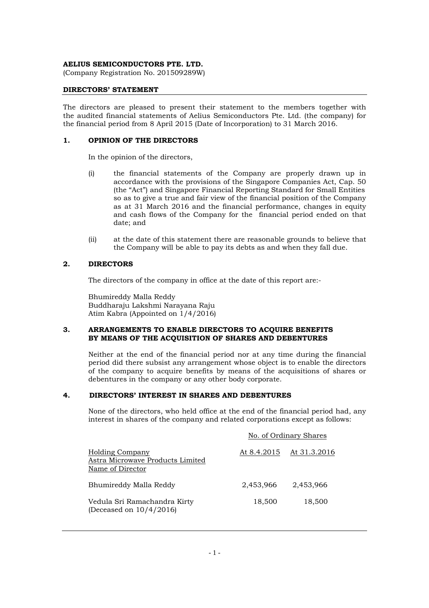(Company Registration No. 201509289W)

#### **DIRECTORS' STATEMENT**

The directors are pleased to present their statement to the members together with the audited financial statements of Aelius Semiconductors Pte. Ltd. (the company) for the financial period from 8 April 2015 (Date of Incorporation) to 31 March 2016.

# **1. OPINION OF THE DIRECTORS**

In the opinion of the directors,

- (i) the financial statements of the Company are properly drawn up in accordance with the provisions of the Singapore Companies Act, Cap. 50 (the "Act") and Singapore Financial Reporting Standard for Small Entities so as to give a true and fair view of the financial position of the Company as at 31 March 2016 and the financial performance, changes in equity and cash flows of the Company for the financial period ended on that date; and
- (ii) at the date of this statement there are reasonable grounds to believe that the Company will be able to pay its debts as and when they fall due.

# **2. DIRECTORS**

The directors of the company in office at the date of this report are:-

Bhumireddy Malla Reddy Buddharaju Lakshmi Narayana Raju Atim Kabra (Appointed on 1/4/2016)

### **3. ARRANGEMENTS TO ENABLE DIRECTORS TO ACQUIRE BENEFITS BY MEANS OF THE ACQUISITION OF SHARES AND DEBENTURES**

Neither at the end of the financial period nor at any time during the financial period did there subsist any arrangement whose object is to enable the directors of the company to acquire benefits by means of the acquisitions of shares or debentures in the company or any other body corporate.

# **4. DIRECTORS' INTEREST IN SHARES AND DEBENTURES**

None of the directors, who held office at the end of the financial period had, any interest in shares of the company and related corporations except as follows:

|                                                                         | No. of Ordinary Shares |                          |  |
|-------------------------------------------------------------------------|------------------------|--------------------------|--|
| Holding Company<br>Astra Microwave Products Limited<br>Name of Director |                        | At 8.4.2015 At 31.3.2016 |  |
| Bhumireddy Malla Reddy                                                  | 2,453,966              | 2,453,966                |  |
| Vedula Sri Ramachandra Kirty<br>(Deceased on 10/4/2016)                 | 18,500                 | 18,500                   |  |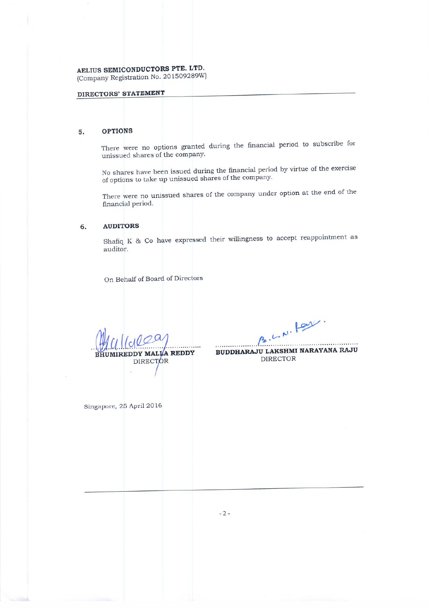# AELIUS SEMICONDUCTORS PTE. LTD. (Company Registration No. 201509289W)

# DIRECTORS' STATEMENT

#### **OPTIONS** 5.

There were no options granted during the financial period to subscribe for unissued shares of the company.

No shares have been issued during the financial period by virtue of the exercise of options to take up unissued shares of the company.

There were no unissued shares of the company under option at the end of the financial period.

#### **AUDITORS** 6.

Shafiq K & Co have expressed their willingness to accept reappointment as auditor.

On Behalf of Board of Directors

BHUMIREDDY MALLA REDDY **DIRECTOR** 

B. L. N. Lav.

. . . . . . . . . . . . . . . . . BUDDHARAJU LAKSHMI NARAYANA RAJU **DIRECTOR** 

Singapore, 25 April 2016

 $-2-$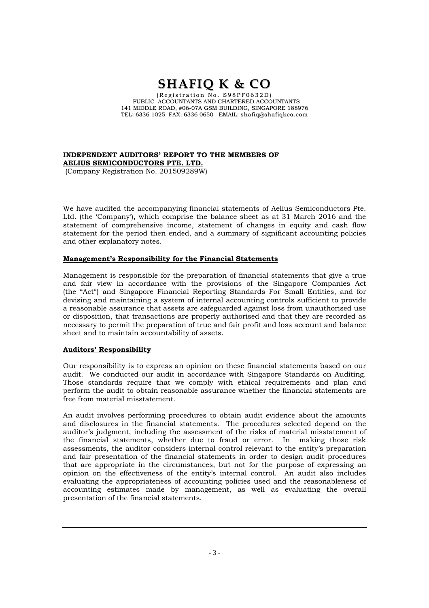# **SHAFIQ K & CO**

 $(Region No. S98PF0632D)$ PUBLIC ACCOUNTANTS AND CHARTERED ACCOUNTANTS 141 MIDDLE ROAD, #06-07A GSM BUILDING, SINGAPORE 188976 TEL: 6336 1025 FAX: 6336 0650 EMAIL: shafiq@shafiqkco.com

#### **INDEPENDENT AUDITORS' REPORT TO THE MEMBERS OF AELIUS SEMICONDUCTORS PTE. LTD.**

(Company Registration No. 201509289W)

We have audited the accompanying financial statements of Aelius Semiconductors Pte. Ltd. (the 'Company'), which comprise the balance sheet as at 31 March 2016 and the statement of comprehensive income, statement of changes in equity and cash flow statement for the period then ended, and a summary of significant accounting policies and other explanatory notes.

# **Management's Responsibility for the Financial Statements**

Management is responsible for the preparation of financial statements that give a true and fair view in accordance with the provisions of the Singapore Companies Act (the "Act") and Singapore Financial Reporting Standards For Small Entities, and for devising and maintaining a system of internal accounting controls sufficient to provide a reasonable assurance that assets are safeguarded against loss from unauthorised use or disposition, that transactions are properly authorised and that they are recorded as necessary to permit the preparation of true and fair profit and loss account and balance sheet and to maintain accountability of assets.

# **Auditors' Responsibility**

Our responsibility is to express an opinion on these financial statements based on our audit. We conducted our audit in accordance with Singapore Standards on Auditing. Those standards require that we comply with ethical requirements and plan and perform the audit to obtain reasonable assurance whether the financial statements are free from material misstatement.

An audit involves performing procedures to obtain audit evidence about the amounts and disclosures in the financial statements. The procedures selected depend on the auditor's judgment, including the assessment of the risks of material misstatement of the financial statements, whether due to fraud or error. In making those risk assessments, the auditor considers internal control relevant to the entity's preparation and fair presentation of the financial statements in order to design audit procedures that are appropriate in the circumstances, but not for the purpose of expressing an opinion on the effectiveness of the entity's internal control. An audit also includes evaluating the appropriateness of accounting policies used and the reasonableness of accounting estimates made by management, as well as evaluating the overall presentation of the financial statements.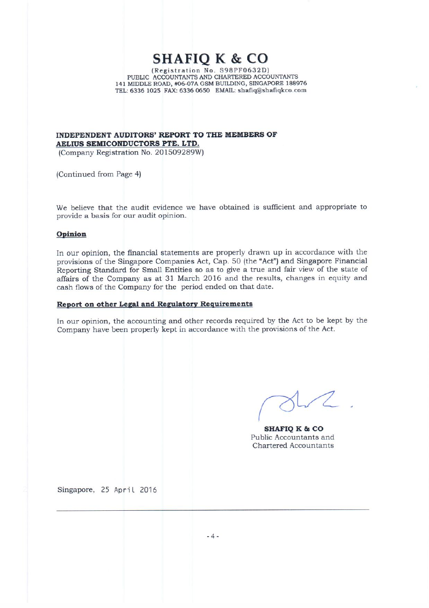# **SHAFIQ K & CO**

(Registration No. S98PF0632D) PUBLIC ACCOUNTANTS AND CHARTERED ACCOUNTANTS 141 MIDDLE ROAD, #06-07A GSM BUILDING, SINGAPORE 188976 TEL: 6336 1025 FAX: 6336 0650 EMAIL: shafiq@shafiqkco.com

# INDEPENDENT AUDITORS' REPORT TO THE MEMBERS OF AELIUS SEMICONDUCTORS PTE. LTD.

(Company Registration No. 201509289W)

(Continued from Page 4)

We believe that the audit evidence we have obtained is sufficient and appropriate to provide a basis for our audit opinion.

# Opinion

In our opinion, the financial statements are properly drawn up in accordance with the provisions of the Singapore Companies Act, Cap. 50 (the "Act") and Singapore Financial Reporting Standard for Small Entities so as to give a true and fair view of the state of affairs of the Company as at 31 March 2016 and the results, changes in equity and cash flows of the Company for the period ended on that date.

### Report on other Legal and Regulatory Requirements

In our opinion, the accounting and other records required by the Act to be kept by the Company have been properly kept in accordance with the provisions of the Act.

**SHAFIQ K & CO** Public Accountants and **Chartered Accountants** 

Singapore, 25 April 2016

 $-4-$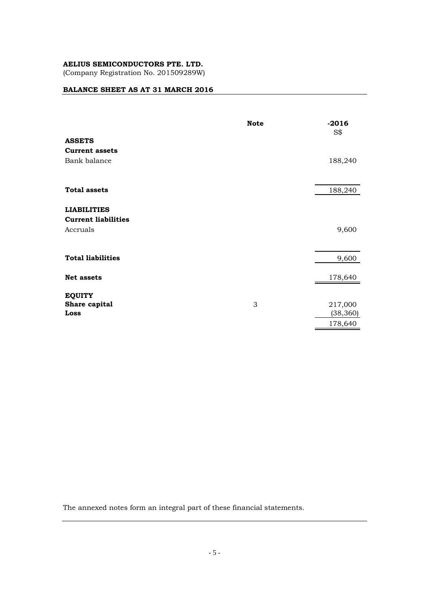(Company Registration No. 201509289W)

# **BALANCE SHEET AS AT 31 MARCH 2016**

|                            | <b>Note</b> | $-2016$<br>$S\$ |
|----------------------------|-------------|-----------------|
| <b>ASSETS</b>              |             |                 |
| <b>Current assets</b>      |             |                 |
| Bank balance               |             | 188,240         |
|                            |             |                 |
| <b>Total assets</b>        |             | 188,240         |
| <b>LIABILITIES</b>         |             |                 |
| <b>Current liabilities</b> |             |                 |
| Accruals                   |             | 9,600           |
| <b>Total liabilities</b>   |             | 9,600           |
|                            |             |                 |
| <b>Net assets</b>          |             | 178,640         |
| <b>EQUITY</b>              |             |                 |
| Share capital              | 3           | 217,000         |
| Loss                       |             | (38, 360)       |
|                            |             | 178,640         |

The annexed notes form an integral part of these financial statements.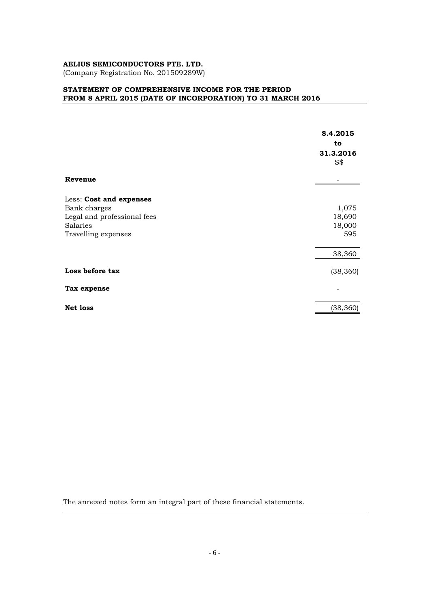(Company Registration No. 201509289W)

# **STATEMENT OF COMPREHENSIVE INCOME FOR THE PERIOD FROM 8 APRIL 2015 (DATE OF INCORPORATION) TO 31 MARCH 2016**

|                                                                                                           | 8.4.2015<br>to<br>31.3.2016<br>S\$ |
|-----------------------------------------------------------------------------------------------------------|------------------------------------|
| Revenue                                                                                                   |                                    |
| Less: Cost and expenses<br>Bank charges<br>Legal and professional fees<br>Salaries<br>Travelling expenses | 1,075<br>18,690<br>18,000<br>595   |
|                                                                                                           | 38,360                             |
| Loss before tax                                                                                           | (38, 360)                          |
| Tax expense                                                                                               |                                    |
| <b>Net loss</b>                                                                                           | (38, 360)                          |

The annexed notes form an integral part of these financial statements.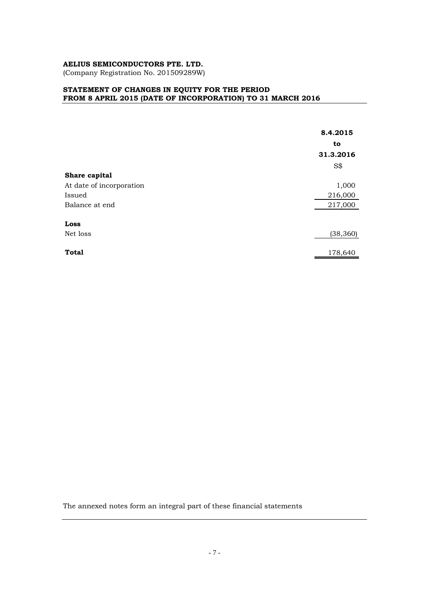(Company Registration No. 201509289W)

# **STATEMENT OF CHANGES IN EQUITY FOR THE PERIOD FROM 8 APRIL 2015 (DATE OF INCORPORATION) TO 31 MARCH 2016**

|                          | 8.4.2015<br>to<br>31.3.2016 |
|--------------------------|-----------------------------|
| Share capital            | S\$                         |
| At date of incorporation | 1,000                       |
| Issued                   | 216,000                     |
| Balance at end           | 217,000                     |
| <b>Loss</b>              |                             |
| Net loss                 | (38, 360)                   |
| <b>Total</b>             | 178,640                     |

The annexed notes form an integral part of these financial statements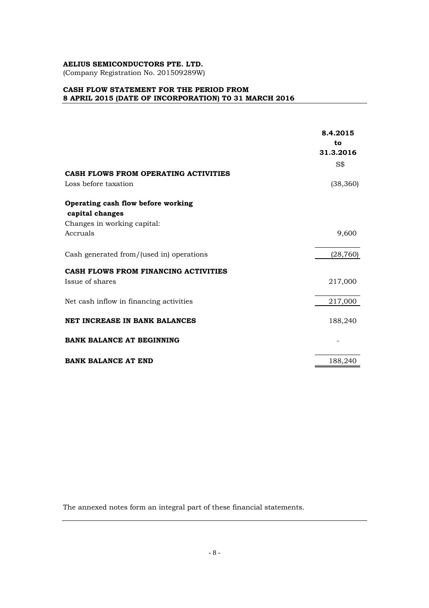(Company Registration No. 201509289W)

# **CASH FLOW STATEMENT FOR THE PERIOD FROM 8 APRIL 2015 (DATE OF INCORPORATION) T0 31 MARCH 2016**

|                                                       | 8.4.2015<br>to<br>31.3.2016 |
|-------------------------------------------------------|-----------------------------|
|                                                       | S\$                         |
| CASH FLOWS FROM OPERATING ACTIVITIES                  |                             |
| Loss before taxation                                  | (38, 360)                   |
| Operating cash flow before working<br>capital changes |                             |
| Changes in working capital:                           |                             |
| Accruals                                              | 9,600                       |
| Cash generated from/(used in) operations              | (28, 760)                   |
| CASH FLOWS FROM FINANCING ACTIVITIES                  |                             |
| Issue of shares                                       | 217,000                     |
| Net cash inflow in financing activities               | 217,000                     |
| <b>NET INCREASE IN BANK BALANCES</b>                  | 188,240                     |
| <b>BANK BALANCE AT BEGINNING</b>                      |                             |
| <b>BANK BALANCE AT END</b>                            | 188,240                     |

The annexed notes form an integral part of these financial statements.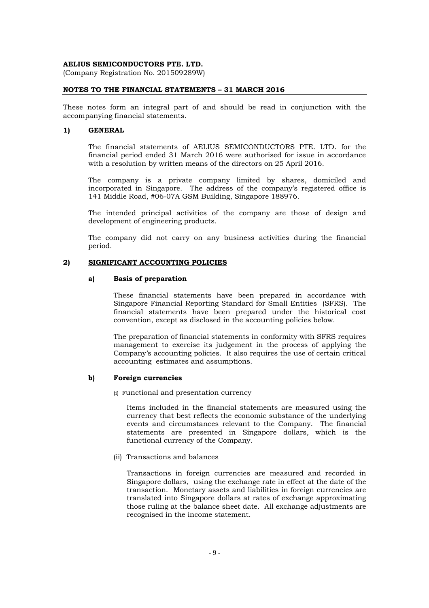(Company Registration No. 201509289W)

#### **NOTES TO THE FINANCIAL STATEMENTS – 31 MARCH 2016**

These notes form an integral part of and should be read in conjunction with the accompanying financial statements.

### **1) GENERAL**

The financial statements of AELIUS SEMICONDUCTORS PTE. LTD. for the financial period ended 31 March 2016 were authorised for issue in accordance with a resolution by written means of the directors on 25 April 2016.

The company is a private company limited by shares, domiciled and incorporated in Singapore. The address of the company's registered office is 141 Middle Road, #06-07A GSM Building, Singapore 188976.

The intended principal activities of the company are those of design and development of engineering products.

The company did not carry on any business activities during the financial period.

#### **2) SIGNIFICANT ACCOUNTING POLICIES**

#### **a) Basis of preparation**

These financial statements have been prepared in accordance with Singapore Financial Reporting Standard for Small Entities (SFRS). The financial statements have been prepared under the historical cost convention, except as disclosed in the accounting policies below.

The preparation of financial statements in conformity with SFRS requires management to exercise its judgement in the process of applying the Company's accounting policies. It also requires the use of certain critical accounting estimates and assumptions.

#### **b) Foreign currencies**

(i) Functional and presentation currency

Items included in the financial statements are measured using the currency that best reflects the economic substance of the underlying events and circumstances relevant to the Company. The financial statements are presented in Singapore dollars, which is the functional currency of the Company.

(ii) Transactions and balances

Transactions in foreign currencies are measured and recorded in Singapore dollars, using the exchange rate in effect at the date of the transaction. Monetary assets and liabilities in foreign currencies are translated into Singapore dollars at rates of exchange approximating those ruling at the balance sheet date. All exchange adjustments are recognised in the income statement.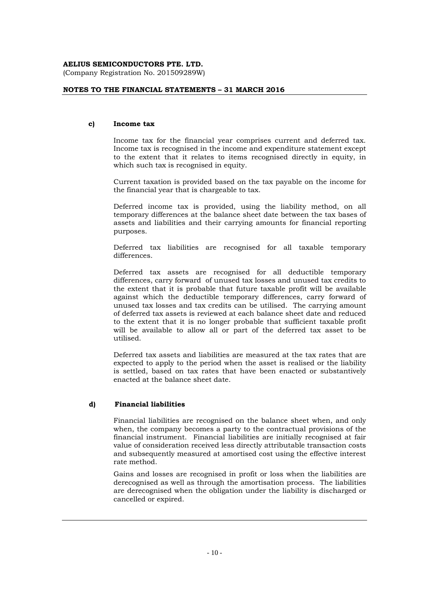(Company Registration No. 201509289W)

#### **NOTES TO THE FINANCIAL STATEMENTS – 31 MARCH 2016**

### **c) Income tax**

Income tax for the financial year comprises current and deferred tax. Income tax is recognised in the income and expenditure statement except to the extent that it relates to items recognised directly in equity, in which such tax is recognised in equity.

Current taxation is provided based on the tax payable on the income for the financial year that is chargeable to tax.

Deferred income tax is provided, using the liability method, on all temporary differences at the balance sheet date between the tax bases of assets and liabilities and their carrying amounts for financial reporting purposes.

Deferred tax liabilities are recognised for all taxable temporary differences.

Deferred tax assets are recognised for all deductible temporary differences, carry forward of unused tax losses and unused tax credits to the extent that it is probable that future taxable profit will be available against which the deductible temporary differences, carry forward of unused tax losses and tax credits can be utilised. The carrying amount of deferred tax assets is reviewed at each balance sheet date and reduced to the extent that it is no longer probable that sufficient taxable profit will be available to allow all or part of the deferred tax asset to be utilised.

Deferred tax assets and liabilities are measured at the tax rates that are expected to apply to the period when the asset is realised or the liability is settled, based on tax rates that have been enacted or substantively enacted at the balance sheet date.

# **d) Financial liabilities**

Financial liabilities are recognised on the balance sheet when, and only when, the company becomes a party to the contractual provisions of the financial instrument. Financial liabilities are initially recognised at fair value of consideration received less directly attributable transaction costs and subsequently measured at amortised cost using the effective interest rate method.

Gains and losses are recognised in profit or loss when the liabilities are derecognised as well as through the amortisation process. The liabilities are derecognised when the obligation under the liability is discharged or cancelled or expired.